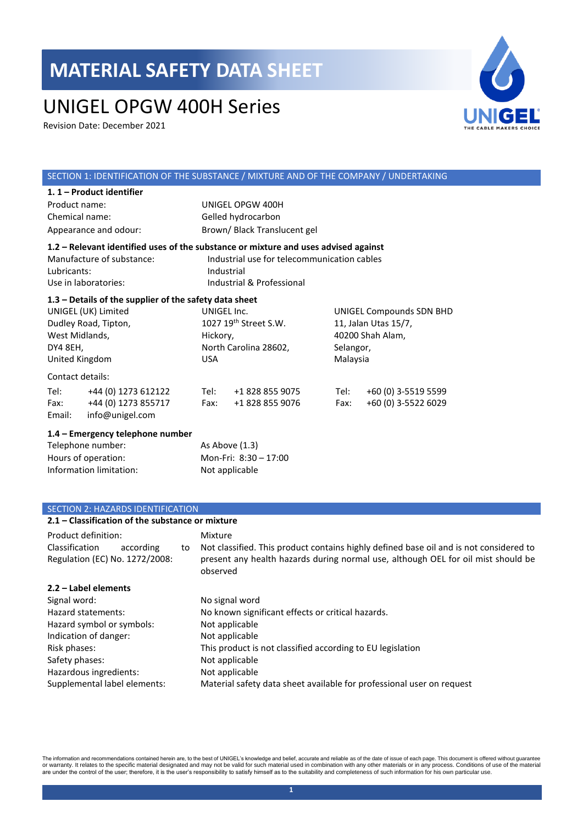# UNIGEL OPGW 400H Series

Revision Date: December 2021



### SECTION 1: IDENTIFICATION OF THE SUBSTANCE / MIXTURE AND OF THE COMPANY / UNDERTAKING

| 1. 1 – Product identifier                                                           |                                             |                          |  |
|-------------------------------------------------------------------------------------|---------------------------------------------|--------------------------|--|
| Product name:                                                                       | UNIGEL OPGW 400H                            |                          |  |
| Chemical name:                                                                      | Gelled hydrocarbon                          |                          |  |
| Appearance and odour:                                                               | Brown/Black Translucent gel                 |                          |  |
| 1.2 – Relevant identified uses of the substance or mixture and uses advised against |                                             |                          |  |
| Manufacture of substance:                                                           | Industrial use for telecommunication cables |                          |  |
| Lubricants:                                                                         | Industrial                                  |                          |  |
| Use in laboratories:                                                                | Industrial & Professional                   |                          |  |
| $1.3$ – Details of the supplier of the safety data sheet                            |                                             |                          |  |
| UNIGEL (UK) Limited                                                                 | UNIGEL Inc.                                 | UNIGEL Compounds SDN BHD |  |
| Dudley Road, Tipton,                                                                | 1027 19 <sup>th</sup> Street S.W.           | 11, Jalan Utas 15/7,     |  |
|                                                                                     |                                             |                          |  |

|                  | Dudley Road, Tipton, |                       | $1027$ $19th$ Street S.W. |      | 11, Jalan Utas 15/7, |  |
|------------------|----------------------|-----------------------|---------------------------|------|----------------------|--|
|                  | West Midlands,       | Hickory,              |                           |      | 40200 Shah Alam,     |  |
| DY4 8EH,         |                      | North Carolina 28602, |                           |      | Selangor,            |  |
| United Kingdom   |                      | USA                   |                           |      | Malaysia             |  |
| Contact details: |                      |                       |                           |      |                      |  |
| Tel:             | +44 (0) 1273 612122  | Tel:                  | +1 828 855 9075           | Tel: | +60 (0) 3-5519 5599  |  |
| Fax:             | +44 (0) 1273 855717  | Fax:                  | +1 828 855 9076           | Fax: | +60 (0) 3-5522 6029  |  |
| Email:           | info@unigel.com      |                       |                           |      |                      |  |

#### **1.4 – Emergency telephone number**

| Telephone number:       | As Above (1.3)        |
|-------------------------|-----------------------|
| Hours of operation:     | Mon-Fri: 8:30 - 17:00 |
| Information limitation: | Not applicable        |

#### SECTION 2: HAZARDS IDENTIFICATION

| 2.1 – Classification of the substance or mixture              |    |                                                                                                                                                                                         |
|---------------------------------------------------------------|----|-----------------------------------------------------------------------------------------------------------------------------------------------------------------------------------------|
| Product definition:                                           |    | Mixture                                                                                                                                                                                 |
| Classification<br>according<br>Regulation (EC) No. 1272/2008: | to | Not classified. This product contains highly defined base oil and is not considered to<br>present any health hazards during normal use, although OEL for oil mist should be<br>observed |
| 2.2 - Label elements                                          |    |                                                                                                                                                                                         |
| Signal word:                                                  |    | No signal word                                                                                                                                                                          |
| Hazard statements:                                            |    | No known significant effects or critical hazards.                                                                                                                                       |
| Hazard symbol or symbols:                                     |    | Not applicable                                                                                                                                                                          |
| Indication of danger:                                         |    | Not applicable                                                                                                                                                                          |
| Risk phases:                                                  |    | This product is not classified according to EU legislation                                                                                                                              |
| Safety phases:                                                |    | Not applicable                                                                                                                                                                          |
| Hazardous ingredients:                                        |    | Not applicable                                                                                                                                                                          |
| Supplemental label elements:                                  |    | Material safety data sheet available for professional user on request                                                                                                                   |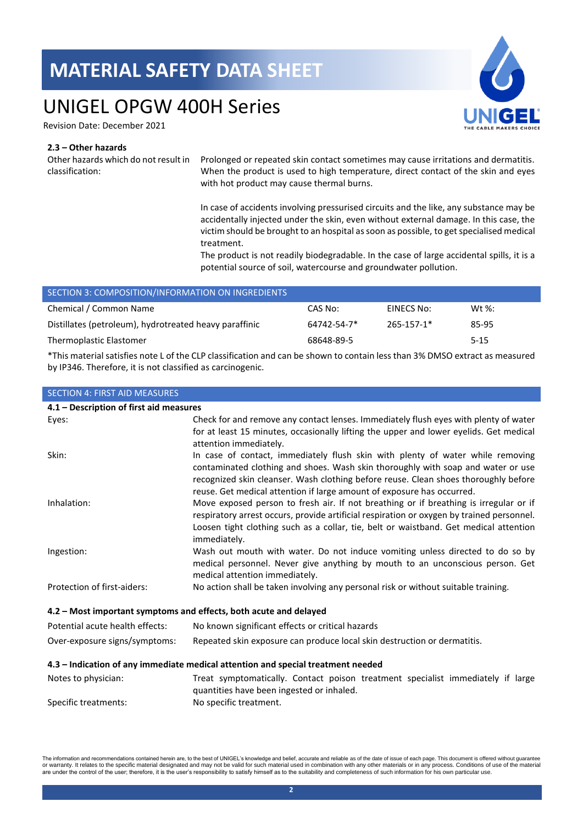### UNIGEL OPGW 400H Series

Revision Date: December 2021

### **2.3 – Other hazards**

Other hazards which do not result in classification:

 $S$ EION 4: FIRST AID MEASURE

Prolonged or repeated skin contact sometimes may cause irritations and dermatitis. When the product is used to high temperature, direct contact of the skin and eyes with hot product may cause thermal burns.

In case of accidents involving pressurised circuits and the like, any substance may be accidentally injected under the skin, even without external damage. In this case, the victim should be brought to an hospital as soon as possible, to get specialised medical treatment.

The product is not readily biodegradable. In the case of large accidental spills, it is a potential source of soil, watercourse and groundwater pollution.

| SECTION 3: COMPOSITION/INFORMATION ON INGREDIENTS      |             |            |           |
|--------------------------------------------------------|-------------|------------|-----------|
| Chemical / Common Name                                 | CAS No:     | EINECS No: | Wt $\%$ : |
| Distillates (petroleum), hydrotreated heavy paraffinic | 64742-54-7* | 265-157-1* | 85-95     |
| Thermoplastic Elastomer                                | 68648-89-5  |            | $5 - 15$  |

\*This material satisfies note L of the CLP classification and can be shown to contain less than 3% DMSO extract as measured by IP346. Therefore, it is not classified as carcinogenic.

| <b>JEUTIUN 4. FINJT AID IVIEAJUNEJ</b>                            |                                                                                                                                                                                                                                                                                                                                     |
|-------------------------------------------------------------------|-------------------------------------------------------------------------------------------------------------------------------------------------------------------------------------------------------------------------------------------------------------------------------------------------------------------------------------|
| 4.1 - Description of first aid measures                           |                                                                                                                                                                                                                                                                                                                                     |
| Eyes:                                                             | Check for and remove any contact lenses. Immediately flush eyes with plenty of water<br>for at least 15 minutes, occasionally lifting the upper and lower eyelids. Get medical<br>attention immediately.                                                                                                                            |
| Skin:                                                             | In case of contact, immediately flush skin with plenty of water while removing<br>contaminated clothing and shoes. Wash skin thoroughly with soap and water or use<br>recognized skin cleanser. Wash clothing before reuse. Clean shoes thoroughly before<br>reuse. Get medical attention if large amount of exposure has occurred. |
| Inhalation:                                                       | Move exposed person to fresh air. If not breathing or if breathing is irregular or if<br>respiratory arrest occurs, provide artificial respiration or oxygen by trained personnel.<br>Loosen tight clothing such as a collar, tie, belt or waistband. Get medical attention<br>immediately.                                         |
| Ingestion:                                                        | Wash out mouth with water. Do not induce vomiting unless directed to do so by<br>medical personnel. Never give anything by mouth to an unconscious person. Get<br>medical attention immediately.                                                                                                                                    |
| Protection of first-aiders:                                       | No action shall be taken involving any personal risk or without suitable training.                                                                                                                                                                                                                                                  |
| 4.2 - Most important symptoms and effects, both acute and delayed |                                                                                                                                                                                                                                                                                                                                     |
| Potential acute health effects:                                   | No known significant effects or critical hazards                                                                                                                                                                                                                                                                                    |
| Over-exposure signs/symptoms:                                     | Repeated skin exposure can produce local skin destruction or dermatitis.                                                                                                                                                                                                                                                            |
|                                                                   | 4.3 - Indication of any immediate medical attention and special treatment needed                                                                                                                                                                                                                                                    |
| Notes to physician:                                               | Treat symptomatically. Contact poison treatment specialist immediately if large<br>quantities have been ingested or inhaled.                                                                                                                                                                                                        |
| Specific treatments:                                              | No specific treatment.                                                                                                                                                                                                                                                                                                              |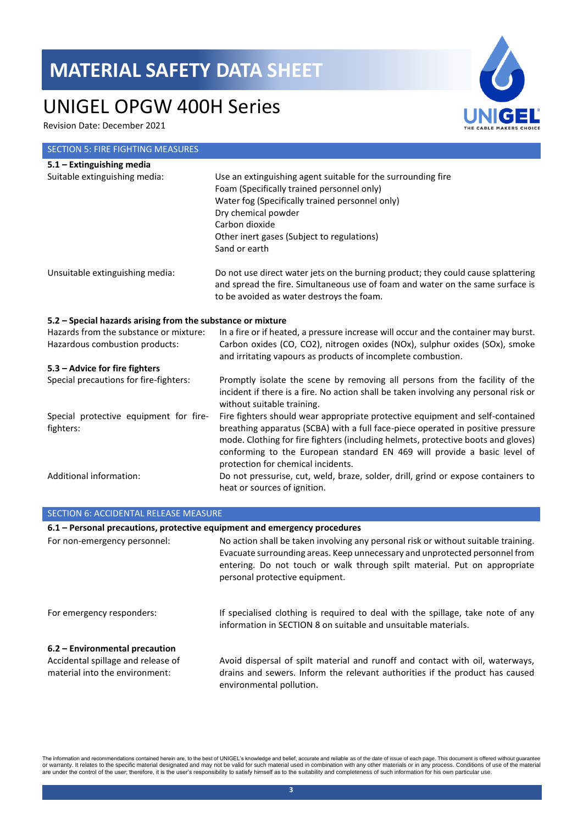### UNIGEL OPGW 400H Series

Revision Date: December 2021

### SECTION 5: FIRE FIGHTING MEASURES **5.1 – Extinguishing media**  Suitable extinguishing media: Use an extinguishing agent suitable for the surrounding fire Foam (Specifically trained personnel only) Water fog (Specifically trained personnel only) Dry chemical powder Carbon dioxide Other inert gases (Subject to regulations) Sand or earth Unsuitable extinguishing media: Do not use direct water jets on the burning product; they could cause splattering and spread the fire. Simultaneous use of foam and water on the same surface is to be avoided as water destroys the foam. **5.2 – Special hazards arising from the substance or mixture** Hazards from the substance or mixture: In a fire or if heated, a pressure increase will occur and the container may burst. Hazardous combustion products: Carbon oxides (CO, CO2), nitrogen oxides (NOx), sulphur oxides (SOx), smoke and irritating vapours as products of incomplete combustion. **5.3 – Advice for fire fighters** Special precautions for fire-fighters: Promptly isolate the scene by removing all persons from the facility of the incident if there is a fire. No action shall be taken involving any personal risk or without suitable training. Special protective equipment for firefighters: Fire fighters should wear appropriate protective equipment and self-contained breathing apparatus (SCBA) with a full face-piece operated in positive pressure mode. Clothing for fire fighters (including helmets, protective boots and gloves) conforming to the European standard EN 469 will provide a basic level of protection for chemical incidents. Additional information: Do not pressurise, cut, weld, braze, solder, drill, grind or expose containers to heat or sources of ignition.

| <b>SECTION 6: ACCIDENTAL RELEASE MEASURE</b>                                                           |                                                                                                                                                                                                                                                                                  |  |
|--------------------------------------------------------------------------------------------------------|----------------------------------------------------------------------------------------------------------------------------------------------------------------------------------------------------------------------------------------------------------------------------------|--|
| 6.1 - Personal precautions, protective equipment and emergency procedures                              |                                                                                                                                                                                                                                                                                  |  |
| For non-emergency personnel:                                                                           | No action shall be taken involving any personal risk or without suitable training.<br>Evacuate surrounding areas. Keep unnecessary and unprotected personnel from<br>entering. Do not touch or walk through spilt material. Put on appropriate<br>personal protective equipment. |  |
| For emergency responders:                                                                              | If specialised clothing is required to deal with the spillage, take note of any<br>information in SECTION 8 on suitable and unsuitable materials.                                                                                                                                |  |
| 6.2 – Environmental precaution<br>Accidental spillage and release of<br>material into the environment: | Avoid dispersal of spilt material and runoff and contact with oil, waterways,<br>drains and sewers. Inform the relevant authorities if the product has caused<br>environmental pollution.                                                                                        |  |

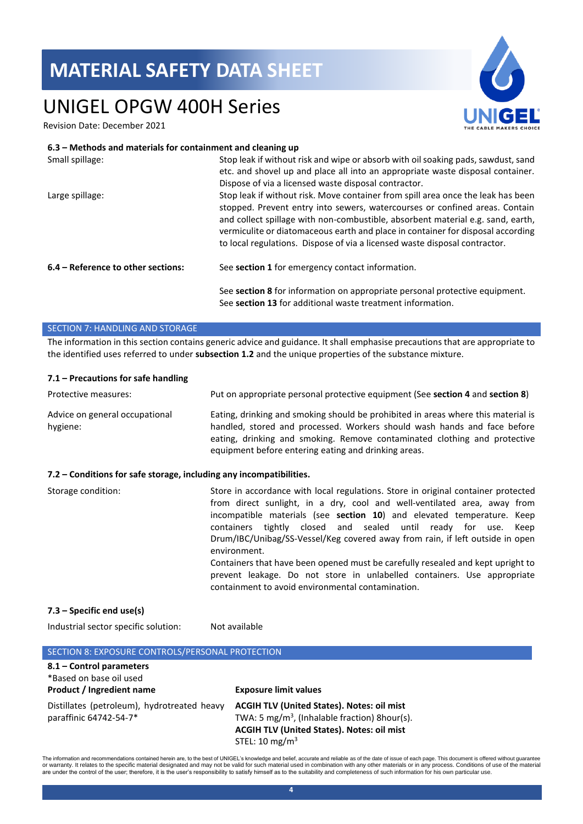# UNIGEL OPGW 400H Series

Revision Date: December 2021

#### **6.3 – Methods and materials for containment and cleaning up**

| Small spillage:                    | Stop leak if without risk and wipe or absorb with oil soaking pads, sawdust, sand<br>etc. and shovel up and place all into an appropriate waste disposal container.<br>Dispose of via a licensed waste disposal contractor.                                                                                                                                                                                         |
|------------------------------------|---------------------------------------------------------------------------------------------------------------------------------------------------------------------------------------------------------------------------------------------------------------------------------------------------------------------------------------------------------------------------------------------------------------------|
|                                    |                                                                                                                                                                                                                                                                                                                                                                                                                     |
| Large spillage:                    | Stop leak if without risk. Move container from spill area once the leak has been<br>stopped. Prevent entry into sewers, watercourses or confined areas. Contain<br>and collect spillage with non-combustible, absorbent material e.g. sand, earth,<br>vermiculite or diatomaceous earth and place in container for disposal according<br>to local regulations. Dispose of via a licensed waste disposal contractor. |
| 6.4 – Reference to other sections: | See section 1 for emergency contact information.                                                                                                                                                                                                                                                                                                                                                                    |
|                                    | See section 8 for information on appropriate personal protective equipment.<br>See section 13 for additional waste treatment information.                                                                                                                                                                                                                                                                           |

#### SECTION 7: HANDLING AND STORAGE

The information in this section contains generic advice and guidance. It shall emphasise precautions that are appropriate to the identified uses referred to under **subsection 1.2** and the unique properties of the substance mixture.

#### **7.1 – Precautions for safe handling**

| Protective measures:                                                | Put on appropriate personal protective equipment (See section 4 and section 8)                                                                                                                                                                                                                                                                                                                                                                                                                                                                                                                                                   |
|---------------------------------------------------------------------|----------------------------------------------------------------------------------------------------------------------------------------------------------------------------------------------------------------------------------------------------------------------------------------------------------------------------------------------------------------------------------------------------------------------------------------------------------------------------------------------------------------------------------------------------------------------------------------------------------------------------------|
| Advice on general occupational<br>hygiene:                          | Eating, drinking and smoking should be prohibited in areas where this material is<br>handled, stored and processed. Workers should wash hands and face before<br>eating, drinking and smoking. Remove contaminated clothing and protective<br>equipment before entering eating and drinking areas.                                                                                                                                                                                                                                                                                                                               |
| 7.2 – Conditions for safe storage, including any incompatibilities. |                                                                                                                                                                                                                                                                                                                                                                                                                                                                                                                                                                                                                                  |
| Storage condition:                                                  | Store in accordance with local regulations. Store in original container protected<br>from direct sunlight, in a dry, cool and well-ventilated area, away from<br>incompatible materials (see section 10) and elevated temperature. Keep<br>containers tightly closed and sealed until ready for use.<br>Keep<br>Drum/IBC/Unibag/SS-Vessel/Keg covered away from rain, if left outside in open<br>environment.<br>Containers that have been opened must be carefully resealed and kept upright to<br>prevent leakage. Do not store in unlabelled containers. Use appropriate<br>containment to avoid environmental contamination. |
| 7.3 - Specific end use(s)                                           |                                                                                                                                                                                                                                                                                                                                                                                                                                                                                                                                                                                                                                  |

Industrial sector specific solution: Not available

| SECTION 8: EXPOSURE CONTROLS/PERSONAL PROTECTION                                        |                                                                                                                                                                                                    |
|-----------------------------------------------------------------------------------------|----------------------------------------------------------------------------------------------------------------------------------------------------------------------------------------------------|
| 8.1 - Control parameters<br>*Based on base oil used<br><b>Product / Ingredient name</b> | <b>Exposure limit values</b>                                                                                                                                                                       |
| Distillates (petroleum), hydrotreated heavy<br>paraffinic 64742-54-7*                   | <b>ACGIH TLV (United States). Notes: oil mist</b><br>TWA: 5 mg/m <sup>3</sup> , (Inhalable fraction) 8 hour(s).<br><b>ACGIH TLV (United States). Notes: oil mist</b><br>STEL: 10 mg/m <sup>3</sup> |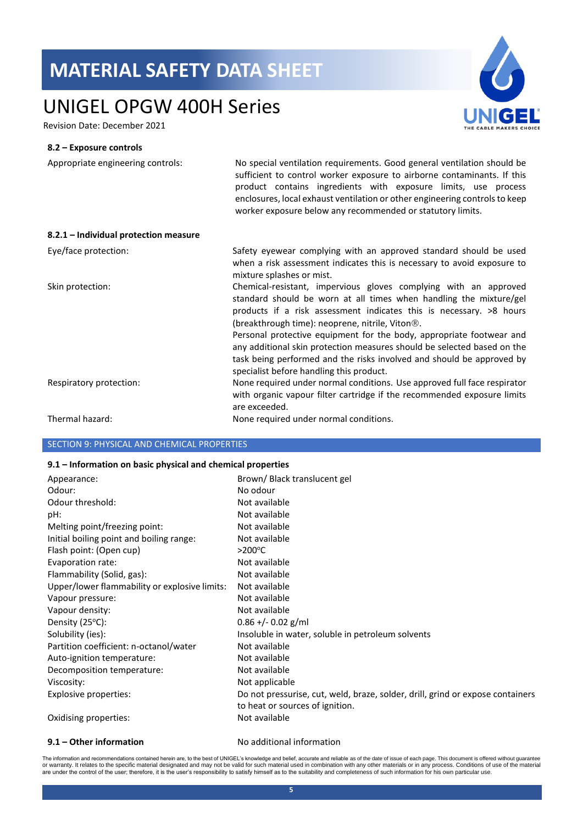# UNIGEL OPGW 400H Series

Revision Date: December 2021

#### **8.2 – Exposure controls**

| Appropriate engineering controls:     | No special ventilation requirements. Good general ventilation should be<br>sufficient to control worker exposure to airborne contaminants. If this<br>product contains ingredients with exposure limits, use process<br>enclosures, local exhaust ventilation or other engineering controls to keep<br>worker exposure below any recommended or statutory limits. |
|---------------------------------------|-------------------------------------------------------------------------------------------------------------------------------------------------------------------------------------------------------------------------------------------------------------------------------------------------------------------------------------------------------------------|
| 8.2.1 - Individual protection measure |                                                                                                                                                                                                                                                                                                                                                                   |
| Eye/face protection:                  | Safety eyewear complying with an approved standard should be used<br>when a risk assessment indicates this is necessary to avoid exposure to<br>mixture splashes or mist.                                                                                                                                                                                         |
| Skin protection:                      | Chemical-resistant, impervious gloves complying with an approved<br>standard should be worn at all times when handling the mixture/gel<br>products if a risk assessment indicates this is necessary. >8 hours<br>(breakthrough time): neoprene, nitrile, Viton <sup>®</sup> .                                                                                     |
|                                       | Personal protective equipment for the body, appropriate footwear and<br>any additional skin protection measures should be selected based on the<br>task being performed and the risks involved and should be approved by<br>specialist before handling this product.                                                                                              |
| Respiratory protection:               | None required under normal conditions. Use approved full face respirator<br>with organic vapour filter cartridge if the recommended exposure limits<br>are exceeded.                                                                                                                                                                                              |
| Thermal hazard:                       | None required under normal conditions.                                                                                                                                                                                                                                                                                                                            |

### SECTION 9: PHYSICAL AND CHEMICAL PROPERTIES

#### **9.1 – Information on basic physical and chemical properties**

| Appearance:                                   | Brown/Black translucent gel                                                                                       |
|-----------------------------------------------|-------------------------------------------------------------------------------------------------------------------|
| Odour:                                        | No odour                                                                                                          |
| Odour threshold:                              | Not available                                                                                                     |
| pH:                                           | Not available                                                                                                     |
| Melting point/freezing point:                 | Not available                                                                                                     |
| Initial boiling point and boiling range:      | Not available                                                                                                     |
| Flash point: (Open cup)                       | $>200^{\circ}$ C                                                                                                  |
| Evaporation rate:                             | Not available                                                                                                     |
| Flammability (Solid, gas):                    | Not available                                                                                                     |
| Upper/lower flammability or explosive limits: | Not available                                                                                                     |
| Vapour pressure:                              | Not available                                                                                                     |
| Vapour density:                               | Not available                                                                                                     |
| Density (25°C):                               | $0.86 + (-0.02)$ g/ml                                                                                             |
| Solubility (ies):                             | Insoluble in water, soluble in petroleum solvents                                                                 |
| Partition coefficient: n-octanol/water        | Not available                                                                                                     |
| Auto-ignition temperature:                    | Not available                                                                                                     |
| Decomposition temperature:                    | Not available                                                                                                     |
| Viscosity:                                    | Not applicable                                                                                                    |
| Explosive properties:                         | Do not pressurise, cut, weld, braze, solder, drill, grind or expose containers<br>to heat or sources of ignition. |
| Oxidising properties:                         | Not available                                                                                                     |

**9.1 – Other information** No additional information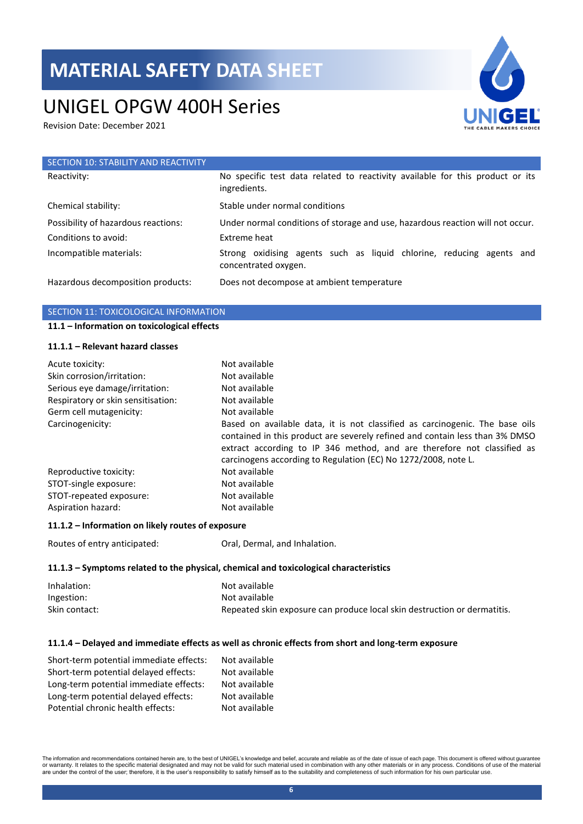# UNIGEL OPGW 400H Series

Revision Date: December 2021



| SECTION 10: STABILITY AND REACTIVITY |                                                                                               |
|--------------------------------------|-----------------------------------------------------------------------------------------------|
| Reactivity:                          | No specific test data related to reactivity available for this product or its<br>ingredients. |
| Chemical stability:                  | Stable under normal conditions                                                                |
| Possibility of hazardous reactions:  | Under normal conditions of storage and use, hazardous reaction will not occur.                |
| Conditions to avoid:                 | Extreme heat                                                                                  |
| Incompatible materials:              | Strong oxidising agents such as liquid chlorine, reducing agents and<br>concentrated oxygen.  |
| Hazardous decomposition products:    | Does not decompose at ambient temperature                                                     |

### SECTION 11: TOXICOLOGICAL INFORMATION

### **11.1 – Information on toxicological effects**

#### **11.1.1 – Relevant hazard classes**

| Acute toxicity:<br>Skin corrosion/irritation: | Not available<br>Not available                                                                                                                                                                                                                                                                            |
|-----------------------------------------------|-----------------------------------------------------------------------------------------------------------------------------------------------------------------------------------------------------------------------------------------------------------------------------------------------------------|
| Serious eye damage/irritation:                | Not available                                                                                                                                                                                                                                                                                             |
| Respiratory or skin sensitisation:            | Not available                                                                                                                                                                                                                                                                                             |
| Germ cell mutagenicity:                       | Not available                                                                                                                                                                                                                                                                                             |
| Carcinogenicity:                              | Based on available data, it is not classified as carcinogenic. The base oils<br>contained in this product are severely refined and contain less than 3% DMSO<br>extract according to IP 346 method, and are therefore not classified as<br>carcinogens according to Regulation (EC) No 1272/2008, note L. |
| Reproductive toxicity:                        | Not available                                                                                                                                                                                                                                                                                             |
| STOT-single exposure:                         | Not available                                                                                                                                                                                                                                                                                             |
| STOT-repeated exposure:                       | Not available                                                                                                                                                                                                                                                                                             |
| Aspiration hazard:                            | Not available                                                                                                                                                                                                                                                                                             |

#### **11.1.2 – Information on likely routes of exposure**

Routes of entry anticipated: Oral, Dermal, and Inhalation.

#### **11.1.3 – Symptoms related to the physical, chemical and toxicological characteristics**

| Inhalation:   | Not available                                                            |
|---------------|--------------------------------------------------------------------------|
| Ingestion:    | Not available                                                            |
| Skin contact: | Repeated skin exposure can produce local skin destruction or dermatitis. |

#### **11.1.4 – Delayed and immediate effects as well as chronic effects from short and long-term exposure**

| Short-term potential immediate effects: | Not available |
|-----------------------------------------|---------------|
| Short-term potential delayed effects:   | Not available |
| Long-term potential immediate effects:  | Not available |
| Long-term potential delayed effects:    | Not available |
| Potential chronic health effects:       | Not available |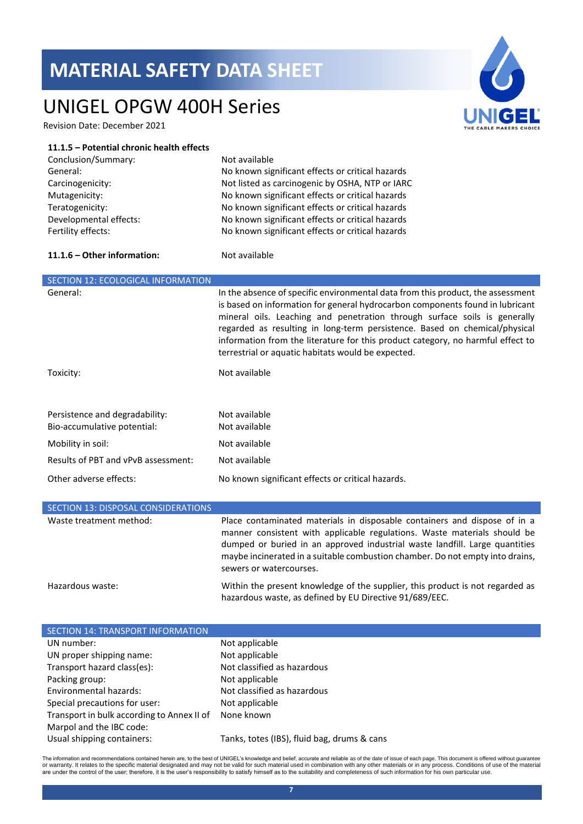# UNIGEL OPGW 400H Series

Revision Date: December 2021

#### **11.1.5 – Potential chronic health effects**

| Conclusion/Summary:    |
|------------------------|
| General:               |
| Carcinogenicity:       |
| Mutagenicity:          |
| Teratogenicity:        |
| Developmental effects: |
| Fertility effects:     |

Not available No known significant effects or critical hazards Not listed as carcinogenic by OSHA, NTP or IARC No known significant effects or critical hazards No known significant effects or critical hazards No known significant effects or critical hazards No known significant effects or critical hazards

#### **11.1.6 – Other information:** Not available

| <b>SECTION 12: ECOLOGICAL INFORMATION</b>                     |                                                                                                                                                                                                                                                                                                                                                                                                                                                                      |
|---------------------------------------------------------------|----------------------------------------------------------------------------------------------------------------------------------------------------------------------------------------------------------------------------------------------------------------------------------------------------------------------------------------------------------------------------------------------------------------------------------------------------------------------|
| General:                                                      | In the absence of specific environmental data from this product, the assessment<br>is based on information for general hydrocarbon components found in lubricant<br>mineral oils. Leaching and penetration through surface soils is generally<br>regarded as resulting in long-term persistence. Based on chemical/physical<br>information from the literature for this product category, no harmful effect to<br>terrestrial or aquatic habitats would be expected. |
| Toxicity:                                                     | Not available                                                                                                                                                                                                                                                                                                                                                                                                                                                        |
| Persistence and degradability:<br>Bio-accumulative potential: | Not available<br>Not available                                                                                                                                                                                                                                                                                                                                                                                                                                       |
| Mobility in soil:                                             | Not available                                                                                                                                                                                                                                                                                                                                                                                                                                                        |
| Results of PBT and vPvB assessment:                           | Not available                                                                                                                                                                                                                                                                                                                                                                                                                                                        |
| Other adverse effects:                                        | No known significant effects or critical hazards.                                                                                                                                                                                                                                                                                                                                                                                                                    |

| SECTION 13: DISPOSAL CONSIDERATIONS |                                                                                                                                                                                                                                                                                                                                                  |
|-------------------------------------|--------------------------------------------------------------------------------------------------------------------------------------------------------------------------------------------------------------------------------------------------------------------------------------------------------------------------------------------------|
| Waste treatment method:             | Place contaminated materials in disposable containers and dispose of in a<br>manner consistent with applicable regulations. Waste materials should be<br>dumped or buried in an approved industrial waste landfill. Large quantities<br>maybe incinerated in a suitable combustion chamber. Do not empty into drains,<br>sewers or watercourses. |
| Hazardous waste:                    | Within the present knowledge of the supplier, this product is not regarded as<br>hazardous waste, as defined by EU Directive 91/689/EEC.                                                                                                                                                                                                         |

| SECTION 14: TRANSPORT INFORMATION          |                                             |
|--------------------------------------------|---------------------------------------------|
| UN number:                                 | Not applicable                              |
| UN proper shipping name:                   | Not applicable                              |
| Transport hazard class(es):                | Not classified as hazardous                 |
| Packing group:                             | Not applicable                              |
| Environmental hazards:                     | Not classified as hazardous                 |
| Special precautions for user:              | Not applicable                              |
| Transport in bulk according to Annex II of | None known                                  |
| Marpol and the IBC code:                   |                                             |
| Usual shipping containers:                 | Tanks, totes (IBS), fluid bag, drums & cans |